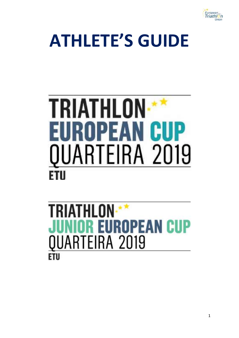

# **ATHLETE'S GUIDE**

# **TRIATHLON\*\*** EUROPEAN CUP QUARTEIRA 2019 FTII

# **TRIATHLON IIOR EUROPEAN CUP** QUARTEIRA 2019 **ETU**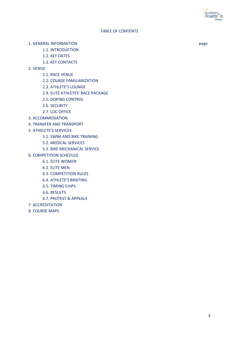2

#### TABLE OF CONTENTS

- 1. GENERAL INFORMATION page
	- 1.1. INTRODUCTION
	- 1.2. KEY DATES
	- 1.3. KEY CONTACTS
- 2. VENUE
	- 2.1. RACE VENUE
	- 2.2. COURSE FAMILIARIZATION
	- 2.3. ATHLETE'S LOUNGE
	- 2.4. ELITE ATHLETES' RACE PACKAGE
	- 2.5. DOPING CONTROL
	- 2.6. SECURITY
	- 2.7. LOC OFFICE
- 3. ACCOMMODATION
- 4. TRANSFER AND TRANSPORT
- 5. ATHELETE'S SERVICES
	- 5.1. SWIM AND BIKE TRAINING
	- 5.2. MEDICAL SERVICES
	- 5.3. BIKE MECHANICAL SERVICE
- 6. COMPETITION SCHEDULE
	- 6.1. ELITE WOMEN
	- 6.2. ELITE MEN
	- 6.3. COMPETITION RULES
	- 6.4. ATHLETE'S BRIEFING
	- 6.5. TIMING CHIPS
	- 6.6. RESULTS
	- 6.7. PROTEST & APPEALS
- 7. ACCREDITATION
- 8. COURSE MAPS

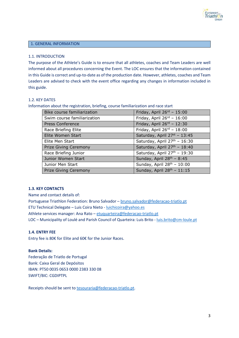

#### 1. GENERAL INFORMATION

#### 1.1. INTRODUCTION

The purpose of the Athlete's Guide is to ensure that all athletes, coaches and Team Leaders are well informed about all procedures concerning the Event. The LOC ensures that the information contained in this Guide is correct and up-to-date as of the production date. However, athletes, coaches and Team Leaders are advised to check with the event office regarding any changes in information included in this guide.

#### 1.2. KEY DATES

Information about the registration, briefing, course familiarization and race start

| Bike course familiarization  | Friday, April $26^{rd}$ - 15:00          |
|------------------------------|------------------------------------------|
| Swim course familiarization  | Friday, April $26^{rd}$ - 16:00          |
| <b>Press Conference</b>      | Friday, April 26 <sup>rd</sup> - 12:30   |
| Race Briefing Elite          | Friday, April $26^{rd}$ - 18:00          |
| Elite Women Start            | Saturday, April 27st - 13:45             |
| Elite Men Start              | Saturday, April 27 <sup>th</sup> - 16:30 |
| <b>Prize Giving Ceremony</b> | Saturday, April 27th - 18:40             |
| Race Briefing Junior         | Saturday, April 27th - 19:30             |
| Junior Women Start           | Sunday, April 28 <sup>th</sup> - 8:45    |
| Junior Men Start             | Sunday, April $28^{th}$ - 10:00          |
| <b>Prize Giving Ceremony</b> | Sunday, April 28 <sup>th</sup> - 11:15   |

#### **1.3. KEY CONTACTS**

Name and contact details of: Portuguese Triathlon Federation: Bruno Salvador – [bruno.salvador@federacao-triatlo.pt](mailto:bruno.salvador@federacao-triatlo.pt) ETU Technical Delegate – Luis Coira Nieto - [luichicoira@yahoo.es](mailto:mailtoluichicoira@yahoo.es) Athlete services manager: Ana Rato – [etuquarteira@federacao-triatlo.pt](mailto:etuquarteira@federacao-triatlo.pt) LOC – Municipality of Loulé and Parish Council of Quarteira: Luis Brito - [luis.brito@cm-loule.pt](mailto:luis.brito@cm-loule.pt)

#### **1.4. ENTRY FEE**

Entry fee is 80€ for Elite and 60€ for the Junior Races.

#### **Bank Details:**

Federação de Triatlo de Portugal Bank: Caixa Geral de Depósitos IBAN: PT50 0035 0653 0000 2383 330 08 SWIFT/BIC: CGDIPTPL

Receipts should be sent to [tesouraria@federacao-triatlo.pt.](mailto:tesouraria@federacao-triatlo.pt)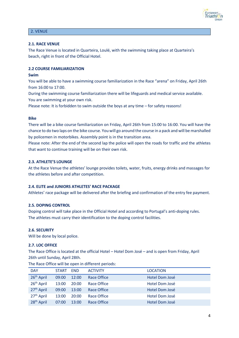

#### 2. VENUE

#### **2.1. RACE VENUE**

The Race Venue is located in Quarteira, Loulé, with the swimming taking place at Quarteira's beach, right in front of the Official Hotel.

#### **2.2 COURSE FAMILIARIZATION**

#### **Swim**

You will be able to have a swimming course familiarization in the Race "arena" on Friday, April 26th from 16:00 to 17:00.

During the swimming course familiarization there will be lifeguards and medical service available. You are swimming at your own risk.

Please note: It is forbidden to swim outside the boys at any time – for safety reasons!

#### **Bike**

There will be a bike course familiarization on Friday, April 26th from 15:00 to 16:00. You will have the chance to do two laps on the bike course. You will go around the course in a pack and will be marshalled by policemen in motorbikes. Assembly point is in the transition area.

Please note: After the end of the second lap the police will open the roads for traffic and the athletes that want to continue training will be on their own risk.

#### **2.3. ATHLETE'S LOUNGE**

At the Race Venue the athletes' lounge provides toilets, water, fruits, energy drinks and massages for the athletes before and after competition.

#### **2.4. ELITE and JUNIORS ATHLETES' RACE PACKAGE**

Athletes' race package will be delivered after the briefing and confirmation of the entry fee payment.

#### **2.5. DOPING CONTROL**

Doping control will take place in the Official Hotel and according to Portugal's anti-doping rules. The athletes must carry their identification to the doping control facilities.

#### **2.6. SECURITY**

Will be done by local police.

#### **2.7. LOC OFFICE**

The Race Office is located at the official Hotel – Hotel Dom José – and is open from Friday, April 26th until Sunday, April 28th.

| <b>DAY</b>             | <b>START</b> | <b>END</b> | <b>ACTIVITY</b>    | <b>LOCATION</b> |
|------------------------|--------------|------------|--------------------|-----------------|
| 26 <sup>th</sup> April | 09:00        | 12:00      | <b>Race Office</b> | Hotel Dom José  |
| 26 <sup>th</sup> April | 13:00        | 20:00      | Race Office        | Hotel Dom José  |
| 27 <sup>th</sup> April | 09:00        | 13:00      | <b>Race Office</b> | Hotel Dom José  |
| 27 <sup>th</sup> April | 13:00        | 20:00      | Race Office        | Hotel Dom José  |
| 28 <sup>th</sup> April | 07:00        | 13:00      | <b>Race Office</b> | Hotel Dom José  |

The Race Office will be open in different periods: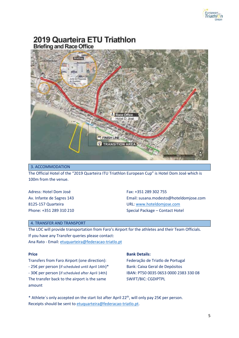

## 2019 Quarteira ETU Triathlon **Briefing and Race Office**



#### 3. ACCOMMODATION

The Official Hotel of the "2019 Quarteira ITU Triathlon European Cup" is Hotel Dom José which is 100m from the venue.

Adress: Hotel Dom José Av. Infante de Sagres 143 8125-157 Quarteira Phone: +351 289 310 210 Fax: +351 289 302 755 Email: susana.modesto@hoteldomjose.com URL[: www.hoteldomjose.com](http://www.hoteldomjose.com/) Special Package – Contact Hotel

#### 4. TRANSFER AND TRANSPORT

The LOC will provide transportation from Faro's Airport for the athletes and their Team Officials. If you have any Transfer queries please contact: Ana Rato - Email[: etuquarteira@federacao-triatlo.pt](mailto:etuquarteira@federacao-triatlo.pt)

#### **Price**

Transfers from Faro Airport (one direction): - 25€ per person (if scheduled until April 14th)\* - 30€ per person (if scheduled after April 14th) The transfer back to the airport is the same amount

#### **Bank Details:**

Federação de Triatlo de Portugal Bank: Caixa Geral de Depósitos IBAN: PT50 0035 0653 0000 2383 330 08 SWIFT/BIC: CGDIPTPL

\* Athlete´s only accepted on the start list after April 22th, will only pay 25€ per person. Receipts should be sent to [etuquarteira@federacao-triatlo.pt.](mailto:etuquarteira@federacao-triatlo.pt)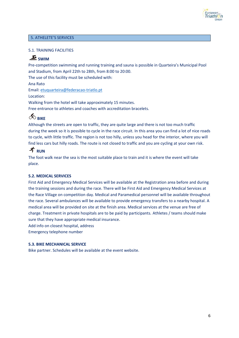

#### 5. ATHELETE'S SERVICES

#### 5.1. TRAINING FACILITIES

### **SWIM**

Pre-competition swimming and running training and sauna is possible in Quarteira's Municipal Pool and Stadium, from April 22th to 28th, from 8:00 to 20:00.

The use of this facility must be scheduled with:

Ana Rato

Email: [etuquarteira@federacao-triatlo.pt](mailto:etuquarteira@federacao-triatlo.pt)

Location:

Walking from the hotel will take approximately 15 minutes.

Free entrance to athletes and coaches with accreditation bracelets.

# $\delta$ <sup>C</sup> RIKE

Although the streets are open to traffic, they are quite large and there is not too much traffic during the week so it is possible to cycle in the race circuit. In this area you can find a lot of nice roads to cycle, with little traffic. The region is not too hilly, unless you head for the interior, where you will find less cars but hilly roads. The route is not closed to traffic and you are cycling at your own risk.

### $\mathcal{\tilde{F}}_{\text{RUN}}$

The foot walk near the sea is the most suitable place to train and it is where the event will take place.

#### **5.2. MEDICAL SERVICES**

First Aid and Emergency Medical Services will be available at the Registration area before and during the training sessions and during the race. There will be First Aid and Emergency Medical Services at the Race Village on competition day. Medical and Paramedical personnel will be available throughout the race. Several ambulances will be available to provide emergency transfers to a nearby hospital. A medical area will be provided on site at the finish area. Medical services at the venue are free of charge. Treatment in private hospitals are to be paid by participants. Athletes / teams should make sure that they have appropriate medical insurance. Add info on closest hospital, address

Emergency telephone number

#### **5.3. BIKE MECHANICAL SERVICE**

Bike partner. Schedules will be available at the event website.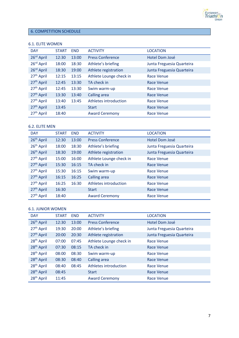

#### 6. COMPETITION SCHEDULE

#### 6.1. ELITE WOMEN

| <b>DAY</b>             | <b>START</b> | <b>END</b> | <b>ACTIVITY</b>         | <b>LOCATION</b>           |
|------------------------|--------------|------------|-------------------------|---------------------------|
| 26 <sup>rd</sup> April | 12:30        | 13:00      | <b>Press Conference</b> | Hotel Dom José            |
| 26 <sup>rd</sup> April | 18:00        | 18:30      | Athlete's briefing      | Junta Freguesia Quarteira |
| 26 <sup>rd</sup> April | 18:30        | 19:00      | Athlete registration    | Junta Freguesia Quarteira |
| 27 <sup>th</sup> April | 12:15        | 13:15      | Athlete Lounge check in | Race Venue                |
| 27 <sup>th</sup> April | 12:45        | 13:30      | TA check in             | Race Venue                |
| 27 <sup>th</sup> April | 12:45        | 13:30      | Swim warm-up            | Race Venue                |
| 27 <sup>th</sup> April | 13:30        | 13:40      | Calling area            | <b>Race Venue</b>         |
| 27 <sup>th</sup> April | 13:40        | 13:45      | Athletes introduction   | Race Venue                |
| 27 <sup>th</sup> April | 13:45        |            | <b>Start</b>            | <b>Race Venue</b>         |
| 27 <sup>th</sup> April | 18:40        |            | <b>Award Ceremony</b>   | Race Venue                |

#### 6.2. ELITE MEN

| <b>DAY</b>             | <b>START</b> | <b>END</b> | <b>ACTIVITY</b>         | <b>LOCATION</b>           |
|------------------------|--------------|------------|-------------------------|---------------------------|
| 26 <sup>th</sup> April | 12:30        | 13:00      | <b>Press Conference</b> | Hotel Dom José            |
| 26 <sup>th</sup> April | 18:00        | 18:30      | Athlete's briefing      | Junta Freguesia Quarteira |
| 26 <sup>th</sup> April | 18:30        | 19:00      | Athlete registration    | Junta Freguesia Quarteira |
| 27 <sup>th</sup> April | 15:00        | 16:00      | Athlete Lounge check in | Race Venue                |
| 27 <sup>th</sup> April | 15:30        | 16:15      | TA check in             | Race Venue                |
| 27 <sup>th</sup> April | 15:30        | 16:15      | Swim warm-up            | <b>Race Venue</b>         |
| 27 <sup>th</sup> April | 16:15        | 16:25      | Calling area            | Race Venue                |
| 27 <sup>th</sup> April | 16:25        | 16:30      | Athletes introduction   | Race Venue                |
| 27 <sup>th</sup> April | 16:30        |            | <b>Start</b>            | Race Venue                |
| 27 <sup>th</sup> April | 18:40        |            | <b>Award Ceremony</b>   | Race Venue                |

#### 6.1. JUNIOR WOMEN

| <b>DAY</b>             | <b>START</b> | <b>END</b> | <b>ACTIVITY</b>         | <b>LOCATION</b>           |
|------------------------|--------------|------------|-------------------------|---------------------------|
| 26 <sup>th</sup> April | 12:30        | 13:00      | <b>Press Conference</b> | Hotel Dom José            |
| 27 <sup>th</sup> April | 19:30        | 20:00      | Athlete's briefing      | Junta Freguesia Quarteira |
| 27 <sup>th</sup> April | 20:00        | 20:30      | Athlete registration    | Junta Freguesia Quarteira |
| 28 <sup>th</sup> April | 07:00        | 07:45      | Athlete Lounge check in | Race Venue                |
| 28 <sup>th</sup> April | 07:30        | 08:15      | TA check in             | Race Venue                |
| 28 <sup>th</sup> April | 08:00        | 08:30      | Swim warm-up            | Race Venue                |
| 28 <sup>th</sup> April | 08:30        | 08:40      | <b>Calling area</b>     | Race Venue                |
| 28 <sup>th</sup> April | 08:40        | 08:45      | Athletes introduction   | Race Venue                |
| 28 <sup>th</sup> April | 08:45        |            | <b>Start</b>            | Race Venue                |
| 28 <sup>th</sup> April | 11:45        |            | <b>Award Ceremony</b>   | Race Venue                |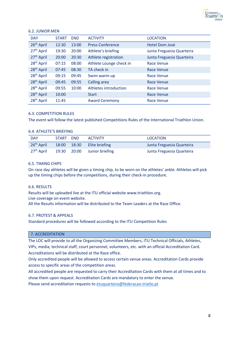

#### 6.2. JUNIOR MEN

| <b>DAY</b>             | <b>START</b> | <b>END</b> | <b>ACTIVITY</b>         | <b>LOCATION</b>           |
|------------------------|--------------|------------|-------------------------|---------------------------|
| 26 <sup>th</sup> April | 12:30        | 13:00      | <b>Press Conference</b> | Hotel Dom José            |
| 27 <sup>th</sup> April | 19:30        | 20:00      | Athlete's briefing      | Junta Freguesia Quarteira |
| 27 <sup>th</sup> April | 20:00        | 20:30      | Athlete registration    | Junta Freguesia Quarteira |
| 28 <sup>th</sup> April | 07:15        | 08:00      | Athlete Lounge check in | Race Venue                |
| 28 <sup>th</sup> April | 07:45        | 08:30      | TA check in             | Race Venue                |
| 28 <sup>th</sup> April | 09:15        | 09:45      | Swim warm-up            | Race Venue                |
| 28 <sup>th</sup> April | 09:45        | 09:55      | <b>Calling area</b>     | <b>Race Venue</b>         |
| 28 <sup>th</sup> April | 09:55        | 10:00      | Athletes introduction   | Race Venue                |
| 28 <sup>th</sup> April | 10:00        |            | <b>Start</b>            | <b>Race Venue</b>         |
| 28 <sup>th</sup> April | 11:45        |            | <b>Award Ceremony</b>   | <b>Race Venue</b>         |

#### 6.3. COMPETITION RULES

The event will follow the latest published Competitions Rules of the International Triathlon Union.

#### 6.4. ATHLETE'S BRIEFING

| <b>DAY</b>             | START | <b>FND</b>  | <b>ACTIVITY</b>             | LOCATION                  |
|------------------------|-------|-------------|-----------------------------|---------------------------|
| 26 <sup>th</sup> April |       | 18:00 18:30 | <b>Elite briefing</b>       | Junta Freguesia Quarteira |
| 27 <sup>th</sup> April |       |             | 19:30 20:00 Junior briefing | Junta Freguesia Quarteira |

#### 6.5. TIMING CHIPS

On race day athletes will be given a timing chip, to be worn on the athletes' ankle. Athletes will pick up the timing chips before the competitions, during their check-in procedure.

#### 6.6. RESULTS

Results will be uploaded live at the ITU official website www.triathlon.org. Live coverage on event website.

All the Results information will be distributed to the Team Leaders at the Race Office.

#### 6.7. PROTEST & APPEALS

Standard procedures will be followed according to the ITU Competition Rules

#### 7. ACCREDITATION

The LOC will provide to all the Organizing Committee Members, ITU Technical Officials, Athletes, VIPs, media, technical staff, court personnel, volunteers, etc. with an official Accreditation Card. Accreditations will be distributed at the Race office.

Only accredited people will be allowed to access certain venue areas. Accreditation Cards provide access to specific areas of the competition areas.

All accredited people are requested to carry their Accreditation Cards with them at all times and to show them upon request. Accreditation Cards are mandatory to enter the venue. Please send accreditation requests to [etuquarteira@federacao-triatlo.pt](mailto:etuquarteira@federacao-triatlo.pt)